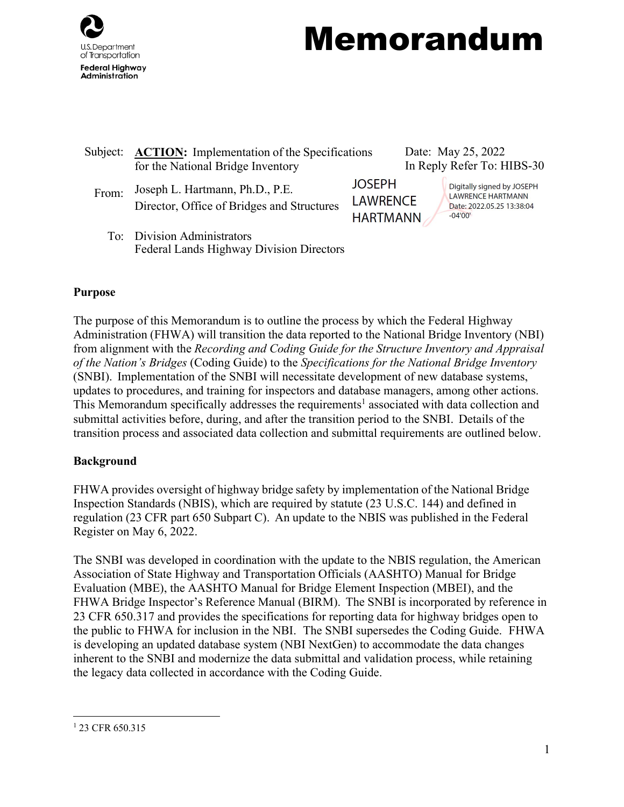

# Memorandum

| Subject: | <b>ACTION:</b> Implementation of the Specifications<br>for the National Bridge Inventory |                                                     |  | Date: May 25, 2022<br>In Reply Refer To: HIBS-30                                                 |  |
|----------|------------------------------------------------------------------------------------------|-----------------------------------------------------|--|--------------------------------------------------------------------------------------------------|--|
| From:    | Joseph L. Hartmann, Ph.D., P.E.<br>Director, Office of Bridges and Structures            | <b>JOSEPH</b><br><b>LAWRENCE</b><br><b>HARTMANN</b> |  | Digitally signed by JOSEPH<br><b>LAWRENCE HARTMANN</b><br>Date: 2022.05.25 13:38:04<br>$-04'00'$ |  |
|          | To: Division Administrators<br>Federal Lands Highway Division Directors                  |                                                     |  |                                                                                                  |  |

#### **Purpose**

The purpose of this Memorandum is to outline the process by which the Federal Highway Administration (FHWA) will transition the data reported to the National Bridge Inventory (NBI) from alignment with the *Recording and Coding Guide for the Structure Inventory and Appraisal of the Nation's Bridges* (Coding Guide) to the *Specifications for the National Bridge Inventory*  (SNBI). Implementation of the SNBI will necessitate development of new database systems, updates to procedures, and training for inspectors and database managers, among other actions. This Memorandum specifically addresses the requirements<sup>1</sup> associated with data collection and submittal activities before, during, and after the transition period to the SNBI. Details of the transition process and associated data collection and submittal requirements are outlined below.

#### **Background**

FHWA provides oversight of highway bridge safety by implementation of the National Bridge Inspection Standards (NBIS), which are required by statute (23 U.S.C. 144) and defined in regulation (23 CFR part 650 Subpart C). An update to the NBIS was published in the Federal Register on May 6, 2022.

The SNBI was developed in coordination with the update to the NBIS regulation, the American Association of State Highway and Transportation Officials (AASHTO) Manual for Bridge Evaluation (MBE), the AASHTO Manual for Bridge Element Inspection (MBEI), and the FHWA Bridge Inspector's Reference Manual (BIRM). The SNBI is incorporated by reference in 23 CFR 650.317 and provides the specifications for reporting data for highway bridges open to the public to FHWA for inclusion in the NBI. The SNBI supersedes the Coding Guide. FHWA is developing an updated database system (NBI NextGen) to accommodate the data changes inherent to the SNBI and modernize the data submittal and validation process, while retaining the legacy data collected in accordance with the Coding Guide.

<span id="page-0-0"></span><sup>&</sup>lt;sup>1</sup> 23 CFR 650.315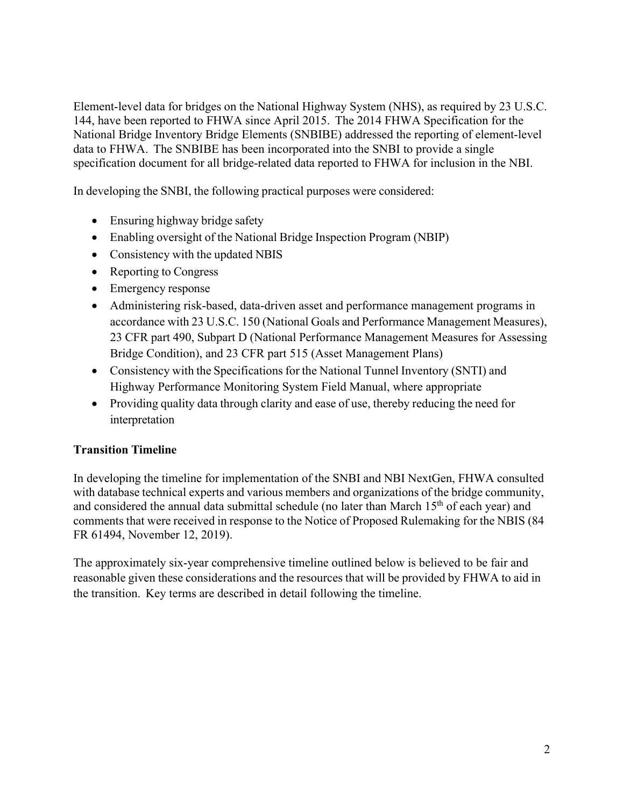Element-level data for bridges on the National Highway System (NHS), as required by 23 U.S.C. 144, have been reported to FHWA since April 2015. The 2014 FHWA Specification for the National Bridge Inventory Bridge Elements (SNBIBE) addressed the reporting of element-level data to FHWA. The SNBIBE has been incorporated into the SNBI to provide a single specification document for all bridge-related data reported to FHWA for inclusion in the NBI.

In developing the SNBI, the following practical purposes were considered:

- Ensuring highway bridge safety
- Enabling oversight of the National Bridge Inspection Program (NBIP)
- Consistency with the updated NBIS
- Reporting to Congress
- Emergency response
- Administering risk-based, data-driven asset and performance management programs in accordance with 23 U.S.C. 150 (National Goals and Performance Management Measures), 23 CFR part 490, Subpart D (National Performance Management Measures for Assessing Bridge Condition), and 23 CFR part 515 (Asset Management Plans)
- Consistency with the Specifications for the National Tunnel Inventory (SNTI) and Highway Performance Monitoring System Field Manual, where appropriate
- Providing quality data through clarity and ease of use, thereby reducing the need for interpretation

# **Transition Timeline**

In developing the timeline for implementation of the SNBI and NBI NextGen, FHWA consulted with database technical experts and various members and organizations of the bridge community, and considered the annual data submittal schedule (no later than March  $15<sup>th</sup>$  of each year) and comments that were received in response to the Notice of Proposed Rulemaking for the NBIS (84 FR 61494, November 12, 2019).

The approximately six-year comprehensive timeline outlined below is believed to be fair and reasonable given these considerations and the resources that will be provided by FHWA to aid in the transition. Key terms are described in detail following the timeline.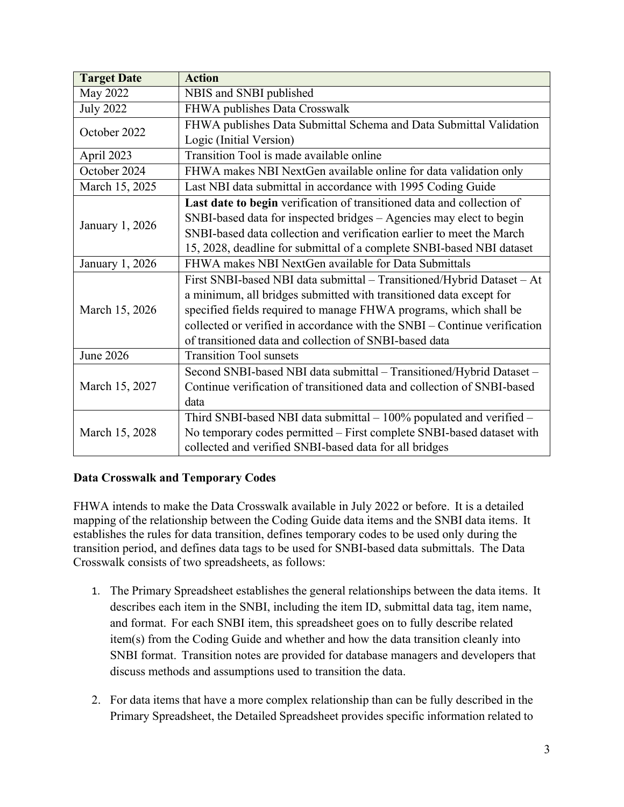| <b>Target Date</b> | <b>Action</b>                                                             |  |  |  |
|--------------------|---------------------------------------------------------------------------|--|--|--|
| May 2022           | NBIS and SNBI published                                                   |  |  |  |
| <b>July 2022</b>   | FHWA publishes Data Crosswalk                                             |  |  |  |
| October 2022       | FHWA publishes Data Submittal Schema and Data Submittal Validation        |  |  |  |
|                    | Logic (Initial Version)                                                   |  |  |  |
| April 2023         | Transition Tool is made available online                                  |  |  |  |
| October 2024       | FHWA makes NBI NextGen available online for data validation only          |  |  |  |
| March 15, 2025     | Last NBI data submittal in accordance with 1995 Coding Guide              |  |  |  |
|                    | Last date to begin verification of transitioned data and collection of    |  |  |  |
| January 1, 2026    | SNBI-based data for inspected bridges – Agencies may elect to begin       |  |  |  |
|                    | SNBI-based data collection and verification earlier to meet the March     |  |  |  |
|                    | 15, 2028, deadline for submittal of a complete SNBI-based NBI dataset     |  |  |  |
| January 1, 2026    | FHWA makes NBI NextGen available for Data Submittals                      |  |  |  |
|                    | First SNBI-based NBI data submittal - Transitioned/Hybrid Dataset - At    |  |  |  |
|                    | a minimum, all bridges submitted with transitioned data except for        |  |  |  |
| March 15, 2026     | specified fields required to manage FHWA programs, which shall be         |  |  |  |
|                    | collected or verified in accordance with the SNBI – Continue verification |  |  |  |
|                    | of transitioned data and collection of SNBI-based data                    |  |  |  |
| June 2026          | <b>Transition Tool sunsets</b>                                            |  |  |  |
|                    | Second SNBI-based NBI data submittal - Transitioned/Hybrid Dataset -      |  |  |  |
| March 15, 2027     | Continue verification of transitioned data and collection of SNBI-based   |  |  |  |
|                    | data                                                                      |  |  |  |
|                    | Third SNBI-based NBI data submittal $-100\%$ populated and verified $-$   |  |  |  |
| March 15, 2028     | No temporary codes permitted - First complete SNBI-based dataset with     |  |  |  |
|                    | collected and verified SNBI-based data for all bridges                    |  |  |  |

# **Data Crosswalk and Temporary Codes**

FHWA intends to make the Data Crosswalk available in July 2022 or before. It is a detailed mapping of the relationship between the Coding Guide data items and the SNBI data items. It establishes the rules for data transition, defines temporary codes to be used only during the transition period, and defines data tags to be used for SNBI-based data submittals. The Data Crosswalk consists of two spreadsheets, as follows:

- 1. The Primary Spreadsheet establishes the general relationships between the data items. It describes each item in the SNBI, including the item ID, submittal data tag, item name, and format. For each SNBI item, this spreadsheet goes on to fully describe related item(s) from the Coding Guide and whether and how the data transition cleanly into SNBI format. Transition notes are provided for database managers and developers that discuss methods and assumptions used to transition the data.
- 2. For data items that have a more complex relationship than can be fully described in the Primary Spreadsheet, the Detailed Spreadsheet provides specific information related to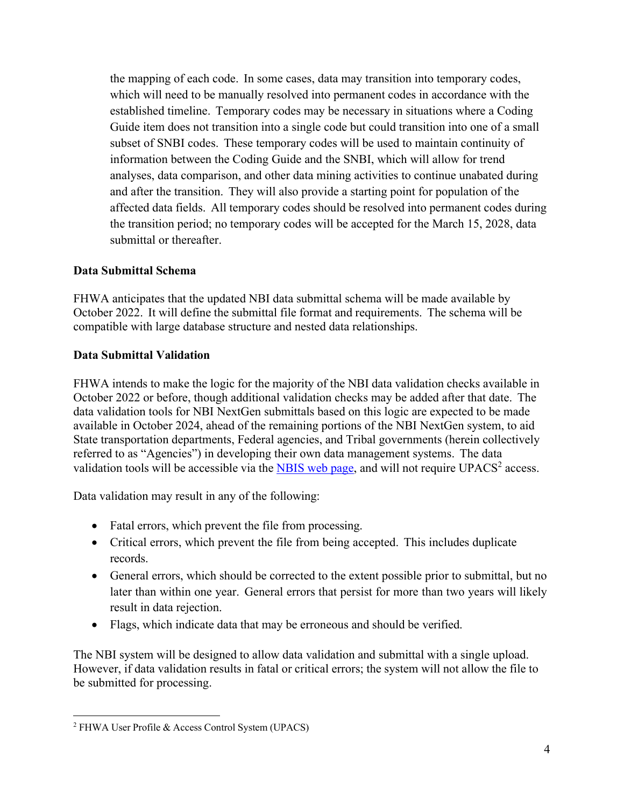the mapping of each code. In some cases, data may transition into temporary codes, which will need to be manually resolved into permanent codes in accordance with the established timeline. Temporary codes may be necessary in situations where a Coding Guide item does not transition into a single code but could transition into one of a small subset of SNBI codes. These temporary codes will be used to maintain continuity of information between the Coding Guide and the SNBI, which will allow for trend analyses, data comparison, and other data mining activities to continue unabated during and after the transition. They will also provide a starting point for population of the affected data fields. All temporary codes should be resolved into permanent codes during the transition period; no temporary codes will be accepted for the March 15, 2028, data submittal or thereafter.

## **Data Submittal Schema**

FHWA anticipates that the updated NBI data submittal schema will be made available by October 2022. It will define the submittal file format and requirements. The schema will be compatible with large database structure and nested data relationships.

#### **Data Submittal Validation**

FHWA intends to make the logic for the majority of the NBI data validation checks available in October 2022 or before, though additional validation checks may be added after that date. The data validation tools for NBI NextGen submittals based on this logic are expected to be made available in October 2024, ahead of the remaining portions of the NBI NextGen system, to aid State transportation departments, Federal agencies, and Tribal governments (herein collectively referred to as "Agencies") in developing their own data management systems. The data validation tools will be accessible via the NBIS [web page, a](https://www.fhwa.dot.gov/bridge/inspection/)nd will not require  $UPACS<sup>2</sup>$  $UPACS<sup>2</sup>$  $UPACS<sup>2</sup>$  access.

Data validation may result in any of the following:

- Fatal errors, which prevent the file from processing.
- Critical errors, which prevent the file from being accepted. This includes duplicate records.
- General errors, which should be corrected to the extent possible prior to submittal, but no later than within one year. General errors that persist for more than two years will likely result in data rejection.
- Flags, which indicate data that may be erroneous and should be verified.

The NBI system will be designed to allow data validation and submittal with a single upload. However, if data validation results in fatal or critical errors; the system will not allow the file to be submitted for processing.

<span id="page-3-0"></span><sup>2</sup> FHWA User Profile & Access Control System (UPACS)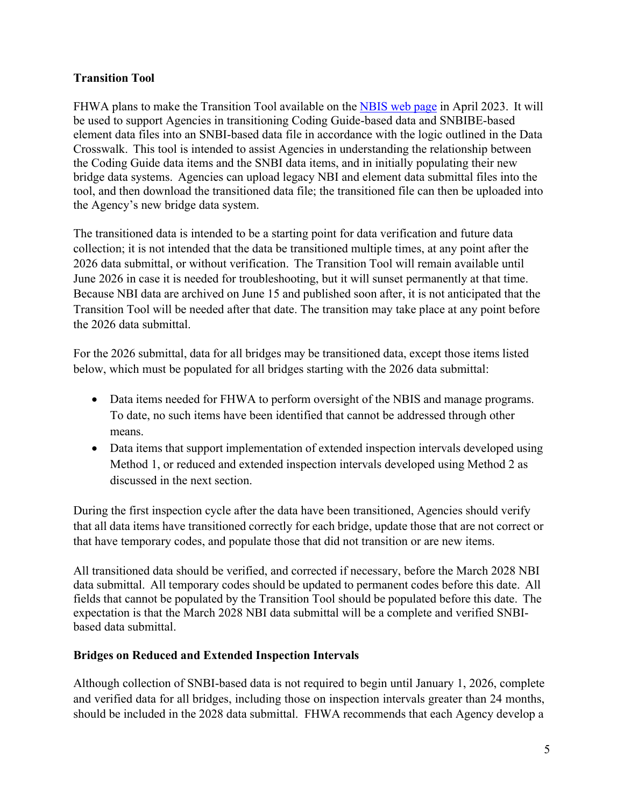# **Transition Tool**

FHWA plans to make the Transition Tool available on the NBIS [web page i](https://www.fhwa.dot.gov/bridge/inspection/)n April 2023. It will be used to support Agencies in transitioning Coding Guide-based data and SNBIBE-based element data files into an SNBI-based data file in accordance with the logic outlined in the Data Crosswalk. This tool is intended to assist Agencies in understanding the relationship between the Coding Guide data items and the SNBI data items, and in initially populating their new bridge data systems. Agencies can upload legacy NBI and element data submittal files into the tool, and then download the transitioned data file; the transitioned file can then be uploaded into the Agency's new bridge data system.

The transitioned data is intended to be a starting point for data verification and future data collection; it is not intended that the data be transitioned multiple times, at any point after the 2026 data submittal, or without verification. The Transition Tool will remain available until June 2026 in case it is needed for troubleshooting, but it will sunset permanently at that time. Because NBI data are archived on June 15 and published soon after, it is not anticipated that the Transition Tool will be needed after that date. The transition may take place at any point before the 2026 data submittal.

For the 2026 submittal, data for all bridges may be transitioned data, except those items listed below, which must be populated for all bridges starting with the 2026 data submittal:

- Data items needed for FHWA to perform oversight of the NBIS and manage programs. To date, no such items have been identified that cannot be addressed through other means.
- Data items that support implementation of extended inspection intervals developed using Method 1, or reduced and extended inspection intervals developed using Method 2 as discussed in the next section.

During the first inspection cycle after the data have been transitioned, Agencies should verify that all data items have transitioned correctly for each bridge, update those that are not correct or that have temporary codes, and populate those that did not transition or are new items.

All transitioned data should be verified, and corrected if necessary, before the March 2028 NBI data submittal. All temporary codes should be updated to permanent codes before this date. All fields that cannot be populated by the Transition Tool should be populated before this date. The expectation is that the March 2028 NBI data submittal will be a complete and verified SNBIbased data submittal.

## **Bridges on Reduced and Extended Inspection Intervals**

Although collection of SNBI-based data is not required to begin until January 1, 2026, complete and verified data for all bridges, including those on inspection intervals greater than 24 months, should be included in the 2028 data submittal. FHWA recommends that each Agency develop a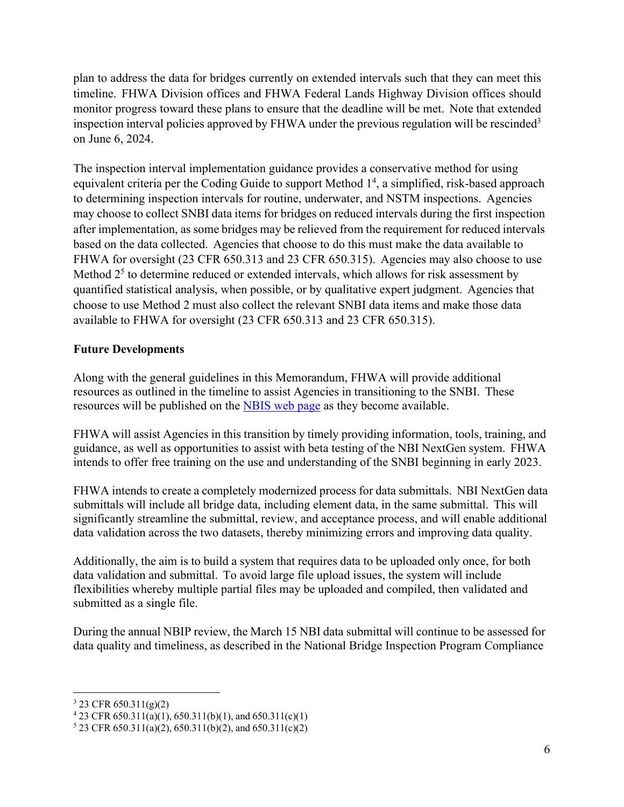plan to address the data for bridges currently on extended intervals such that they can meet this timeline. FHWA Division offices and FHWA Federal Lands Highway Division offices should monitor progress toward these plans to ensure that the deadline will be met. Note that extended inspection interval policies approved by FHWA under the previous regulation will be rescinded<sup>3</sup> on June 6, 2024.

The inspection interval implementation guidance provides a conservative method for using equivalent criteria per the Coding Guide to support Method 1<sup>4</sup>[,](#page-5-1) a simplified, risk-based approach to determining inspection intervals for routine, underwater, and NSTM inspections. Agencies may choose to collect SNBI data items for bridges on reduced intervals during the first inspection after implementation, as some bridges may be relieved from the requirement for reduced intervals based on the data collected. Agencies that choose to do this must make the data available to FHWA for oversight (23 CFR 650.313 and 23 CFR 650.315). Agencies may also choose to use Method  $2<sup>5</sup>$  to determine reduced or extended intervals, which allows for risk assessment by quantified statistical analysis, when possible, or by qualitative expert judgment. Agencies that choose to use Method 2 must also collect the relevant SNBI data items and make those data available to FHWA for oversight (23 CFR 650.313 and 23 CFR 650.315).

## **Future Developments**

Along with the general guidelines in this Memorandum, FHWA will provide additional resources as outlined in the timeline to assist Agencies in transitioning to the SNBI. These resources will be published on the [NBIS web page](https://www.fhwa.dot.gov/bridge/inspection/) as they become available.

FHWA will assist Agencies in this transition by timely providing information, tools, training, and guidance, as well as opportunities to assist with beta testing of the NBI NextGen system. FHWA intends to offer free training on the use and understanding of the SNBI beginning in early 2023.

FHWA intends to create a completely modernized process for data submittals. NBI NextGen data submittals will include all bridge data, including element data, in the same submittal. This will significantly streamline the submittal, review, and acceptance process, and will enable additional data validation across the two datasets, thereby minimizing errors and improving data quality.

Additionally, the aim is to build a system that requires data to be uploaded only once, for both data validation and submittal. To avoid large file upload issues, the system will include flexibilities whereby multiple partial files may be uploaded and compiled, then validated and submitted as a single file.

During the annual NBIP review, the March 15 NBI data submittal will continue to be assessed for data quality and timeliness, as described in the National Bridge Inspection Program Compliance

<span id="page-5-0"></span> $3$  23 CFR 650.311(g)(2)

<span id="page-5-1"></span> $423$  CFR 650.311(a)(1), 650.311(b)(1), and 650.311(c)(1)

<span id="page-5-2"></span> $5$  23 CFR 650.311(a)(2), 650.311(b)(2), and 650.311(c)(2)